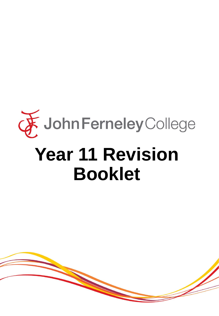

# **Booklet**

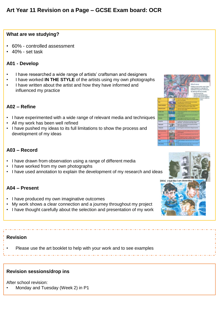# **What are we studying?**

- 60% controlled assessment
- 40% set task

# **A01 - Develop**

- I have researched a wide range of artists' craftsman and designers
- I have worked **IN THE STYLE** of the artists using my own photographs
- I have written about the artist and how they have informed and influenced my practice

# **A02 – Refine**

- I have experimented with a wide range of relevant media and techniques
- All my work has been well refined
- I have pushed my ideas to its full limitations to show the process and development of my ideas

# **A03 – Record**

- I have drawn from observation using a range of different media
- I have worked from my own photographs
- I have used annotation to explain the development of my research and ideas

# **A04 – Present**

- I have produced my own imaginative outcomes
- My work shows a clear connection and a journey throughout my project
- I have thought carefully about the selection and presentation of my work

# **Revision**

• Please use the art booklet to help with your work and to see examples

# **Revision sessions/drop ins**

After school revision:

• Monday and Tuesday (Week 2) in P1





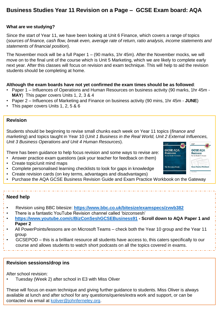# **Business Studies Year 11 Revision on a Page – GCSE Exam board: AQA**

## **What are we studying?**

Since the start of Year 11, we have been looking at Unit 6 Finance, which covers a range of topics (*sources of finance, cash flow, break even, average rate of return, ratio analysis, income statements and statements of financial position*).

The November mock will be a full Paper 1 – (90 marks, 1hr 45m). After the November mocks, we will move on to the final unit of the course which is Unit 5 Marketing, which we are likely to complete early next year. After this classes will focus on revision and exam technique. This will help to aid the revision students should be completing at home.

### **Although the exam boards have not yet confirmed the exam times should be as followed**:

- Paper 1 Influences of Operations and Human Resources on business activity (90 marks, 1hr 45m **MAY**) This paper covers Units 1, 2, 3 & 4
- Paper 2 Influences of Marketing and Finance on business activity (90 mins, 1hr 45m **JUNE**)
- This paper covers Units 1, 2, 5 & 6

### **Revision**

Students should be beginning to revise small chunks each week on Year 11 topics (*finance and marketing*) and topics taught in Year 10 (*Unit 1 Business in the Real World, Unit 2 External Influences, Unit 3 Business Operations and Unit 4 Human Resources*).

There has been guidance to help focus revision and some ways to revise are:

- Answer practice exam questions (ask your teacher for feedback on them)
- Create topic/unit mind maps
- Complete personalised learning checklists to look for gaps in knowledge
- Create revision cards (on key terms, advantages and disadvantages)
- Purchase the AQA GCSE Business Revision Guide and Exam Practice Workbook on the Gateway

### **Need help**

- Revision using BBC bitesize: **<https://www.bbc.co.uk/bitesize/examspecs/zvwb382>**
- There is a fantastic YouTube Revision channel called 'bizconsesh'
- **<https://www.youtube.com/c/BizConSeshGCSEBusiness91> - Scroll down to AQA Paper 1 and Paper 2**
- All PowerPoints/lessons are on Microsoft Teams check both the Year 10 group and the Year 11 group
- GCSEPOD this is a brilliant resource all students have access to, this caters specifically to our course and allows students to watch short podcasts on all the topics covered in exams.

## **Revision sessions/drop ins**

After school revision:

• Tuesday (Week 2) after school in E3 with Miss Oliver

These will focus on exam technique and giving further guidance to students. Miss Oliver is always available at lunch and after school for any questions/queries/extra work and support, or can be contacted via email at [koliver@johnferneley.org](mailto:koliver@johnferneley.org).

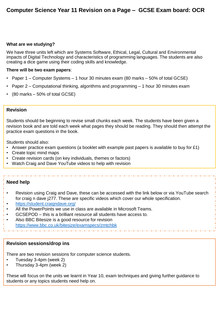### **What are we studying?**

We have three units left which are Systems Software, Ethical, Legal, Cultural and Environmental impacts of Digital Technology and characteristics of programming languages. The students are also creating a dice game using their coding skills and knowledge.

#### **There will be two exam papers**:

- Paper 1 Computer Systems 1 hour 30 minutes exam (80 marks 50% of total GCSE)
- Paper 2 Computational thinking, algorithms and programming 1 hour 30 minutes exam
- $(80 \text{ marks} 50\% \text{ of total GCSE})$

## **Revision**

Students should be beginning to revise small chunks each week. The students have been given a revision book and are told each week what pages they should be reading. They should then attempt the practice exam questions in the book.

Students should also:

- Answer practice exam questions (a booklet with example past papers is available to buy for £1)
- Create topic mind maps
- Create revision cards (on key individuals, themes or factors)
- Watch Craig and Dave YouTube videos to help with revision

# **Need help**

- Revision using Craig and Dave, these can be accessed with the link below or via YouTube search for craig n dave j277. These are specific videos which cover our whole specification.
- <https://student.craigndave.org/>
- All the PowerPoints we use in class are available in Microsoft Teams.
- GCSEPOD this is a brilliant resource all students have access to.
- Also BBC Bitesize is a good resource for revision <https://www.bbc.co.uk/bitesize/examspecs/zmtchbk>

### **Revision sessions/drop ins**

There are two revision sessions for computer science students.

- Tuesday 3-4pm (week 2)
- Thursday 3-4pm (week 2)

These will focus on the units we learnt in Year 10, exam techniques and giving further guidance to students or any topics students need help on.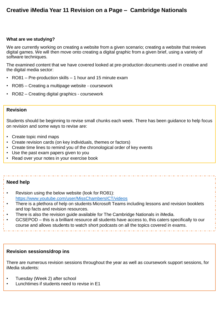# **Creative iMedia Year 11 Revision on a Page – Cambridge Nationals**

#### **What are we studying?**

We are currently working on creating a website from a given scenario; creating a website that reviews digital games. We will then move onto creating a digital graphic from a given brief, using a variety of software techniques.

The examined content that we have covered looked at pre-production documents used in creative and the digital media sector:

- RO81 Pre-production skills 1 hour and 15 minute exam
- RO85 Creating a multipage website coursework
- RO82 Creating digital graphics coursework

## **Revision**

Students should be beginning to revise small chunks each week. There has been guidance to help focus on revision and some ways to revise are:

- Create topic mind maps
- Create revision cards (on key individuals, themes or factors)
- Create time lines to remind you of the chronological order of key events
- Use the past exam papers given to you
- Read over your notes in your exercise book

# **Need help**

- Revision using the below website (look for RO81):
- <https://www.youtube.com/user/MissChambersICT/videos>
- There is a plethora of help on students Microsoft Teams including lessons and revision booklets and top facts and revision resources.
- There is also the revision guide available for The Cambridge Nationals in iMedia.
- GCSEPOD this is a brilliant resource all students have access to, this caters specifically to our course and allows students to watch short podcasts on all the topics covered in exams.

## **Revision sessions/drop ins**

There are numerous revision sessions throughout the year as well as coursework support sessions, for iMedia students:

- Tuesday (Week 2) after school
- Lunchtimes if students need to revise in E1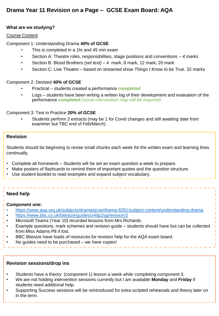# **Drama Year 11 Revision on a Page – GCSE Exam Board: AQA**

# **What are we studying?**

#### Course Content

Component 1: Understanding Drama **40% of GCSE**

- This is completed in a 1hr and 45 min exam
- Section A: Theatre roles, responsibilities, stage positions and conventions *– 4 marks*
- Section B: Blood Brothers *(set text)* 4 mark, 8 mark, 12 mark, 20 mark
- Section C: Live Theatre based on streamed show *Things I Know to be True.* 32 marks

#### Component 2: Devised **40% of GCSE**

- Practical students created a performance **completed**
- Logs students have been writing a written log of their development and evaluation of the performance **completed** *(some intervention may still be required)*

Component 3: Text in Practice **20% of GCSE**

• Students perform 2 extracts (may be 1 for Covid changes and still awaiting date from examiner but TBC end of Feb/March)

## **Revision**

Students should be beginning to revise small chunks each week for the written exam and learning lines continually.

- Complete all homework Students will be set an exam question a week to prepare.
- Make posters of flashcards to remind them of important quotes and the question structure.
- Use student booklet to read examples and expand subject vocabulary.

### **Need help**

#### **Component one:**

- <https://www.aqa.org.uk/subjects/drama/gcse/drama-8261/subject-content/understanding-drama>
- <https://www.bbc.co.uk/bitesize/guides/z4dp2sg/revision/2>
- Microsoft Teams (Year 10) recorded lessons from Mrs Richards.
- Example questions, mark schemes and revision guide students should have but can be collected from Miss Adams P8 if lost.
- BBC Bitesize have loads of resources for revision help for the AQA exam board.
- No guides need to be purchased  $-$  we have copies!

### **Revision sessions/drop ins**

- Students have a theory (component 1) lesson a week while completing component 3.
- We are not holding intervention sessions currently but I am available **Monday** and **Friday** if students need additional help.
- Supporting Success sessions will be reintroduced for extra scripted rehearsals and theory later on in the term.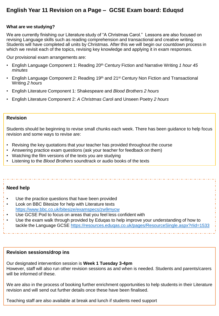# **English Year 11 Revision on a Page – GCSE Exam board: Eduqsd**

#### **What are we studying?**

We are currently finishing our Literature study of "A Christmas Carol." Lessons are also focused on revising Language skills such as reading comprehension and transactional and creative writing. Students will have completed all units by Christmas. After this we will begin our countdown process in which we revisit each of the topics, revising key knowledge and applying it in exam responses.

Our provisional exam arrangements are:

- English Language Component 1: Reading 20<sup>th</sup> Century Fiction and Narrative Writing 1 hour 45 *minutes*
- English Language Component 2: Reading 19<sup>th</sup> and 21<sup>st</sup> Century Non Fiction and Transactional Writing *2 hours*
- English Literature Component 1: Shakespeare and *Blood Brothers 2 hours*
- English Literature Component 2: *A Christmas Caro*l and Unseen Poetry *2 hours*

# **Revision**

Students should be beginning to revise small chunks each week. There has been guidance to help focus revision and some ways to revise are:

- Revising the key quotations that your teacher has provided throughout the course
- Answering practice exam questions (ask your teacher for feedback on them)
- Watching the film versions of the texts you are studying
- Listening to the *Blood Brothers* soundtrack or audio books of the texts

# **Need help**

- Use the practice questions that have been provided
- Look on BBC Bitesize for help with Literature texts <https://www.bbc.co.uk/bitesize/examspecs/zw9mycw>
- Use GCSE Pod to focus on areas that you feel less confident with
- Use the exam walk through provided by Eduqas to help improve your understanding of how to tackle the Language GCSE https://resources.eduqas.co.uk/pages/ResourceSingle.aspx?rlid=1533

### **Revision sessions/drop ins**

Our designated intervention session is **Week 1 Tuesday 3-4pm** However, staff will also run other revision sessions as and when is needed. Students and parents/carers will be informed of these.

We are also in the process of booking further enrichment opportunities to help students in their Literature revision and will send out further details once these have been finalised.

Teaching staff are also available at break and lunch if students need support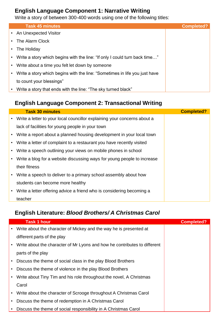# **English Language Component 1: Narrative Writing**

Write a story of between 300-400 words using one of the following titles:

|           | <b>Task 45 minutes</b>                                                       | <b>Completed?</b> |
|-----------|------------------------------------------------------------------------------|-------------------|
|           | • An Unexpected Visitor                                                      |                   |
|           | • The Alarm Clock                                                            |                   |
|           | • The Holiday                                                                |                   |
|           | • Write a story which begins with the line: "If only I could turn back time" |                   |
| $\bullet$ | Write about a time you felt let down by someone                              |                   |
| $\bullet$ | Write a story which begins with the line: "Sometimes in life you just have   |                   |
|           | to count your blessings"                                                     |                   |
|           | Write a story that ends with the line: "The sky turned black"                |                   |

# **English Language Component 2: Transactional Writing**

|           | <b>Task 30 minutes</b>                                                     | <b>Completed?</b> |
|-----------|----------------------------------------------------------------------------|-------------------|
|           | • Write a letter to your local councillor explaining your concerns about a |                   |
|           | lack of facilities for young people in your town                           |                   |
|           | • Write a report about a planned housing development in your local town    |                   |
| $\bullet$ | Write a letter of complaint to a restaurant you have recently visited      |                   |
| $\bullet$ | Write a speech outlining your views on mobile phones in school             |                   |
| $\bullet$ | Write a blog for a website discussing ways for young people to increase    |                   |
|           | their fitness                                                              |                   |
| $\bullet$ | Write a speech to deliver to a primary school assembly about how           |                   |
|           | students can become more healthy                                           |                   |
| $\bullet$ | Write a letter offering advice a friend who is considering becoming a      |                   |
|           | teacher                                                                    |                   |

# **English Literature:** *Blood Brothers/ A Christmas Carol*

|           | <b>Task 1 hour</b>                                                        | <b>Completed?</b> |
|-----------|---------------------------------------------------------------------------|-------------------|
|           | Write about the character of Mickey and the way he is presented at        |                   |
|           | different parts of the play                                               |                   |
| $\bullet$ | Write about the character of Mr Lyons and how he contributes to different |                   |
|           | parts of the play                                                         |                   |
|           | Discuss the theme of social class in the play Blood Brothers              |                   |
|           | Discuss the theme of violence in the play Blood Brothers                  |                   |
|           | Write about Tiny Tim and his role throughout the novel, A Christmas       |                   |
|           | Carol                                                                     |                   |
| $\bullet$ | Write about the character of Scrooge throughout A Christmas Carol         |                   |
| ٠         | Discuss the theme of redemption in A Christmas Carol                      |                   |
|           | Discuss the theme of social responsibility in A Christmas Carol           |                   |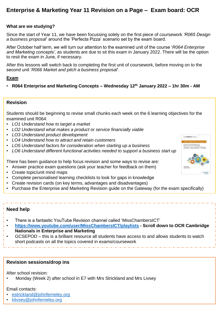# **Enterprise & Marketing Year 11 Revision on a Page – Exam board: OCR**

#### **What are we studying?**

Since the start of Year 11, we have been focussing solely on the first piece of coursework *'R065 Design a business proposal*' around the 'Perfecta Pizza' scenario set by the exam board.

After October half term, we will turn our attention to the examined unit of the course '*R064 Enterprise and Marketing concepts',* as students are due to sit this exam in January 2022. There will be the option to resit the exam in June, if necessary.

After this lessons will switch back to completing the first unit of coursework, before moving on to the second unit '*R066 Market and pitch a business proposal*'.

#### **Exam**

• **R064 Enterprise and Marketing Concepts – Wednesday 12th January 2022 – 1hr 30m - AM**

#### **Revision**

Students should be beginning to revise small chunks each week on the 6 learning objectives for the examined unit R064:

- *LO1 Understand how to target a market*
- *LO2 Understand what makes a product or service financially viable*
- *LO3 Understand product development*
- *LO4 Understand how to attract and retain customers*
- *LO5 Understand factors for consideration when starting up a business*
- *LO6 Understand different functional activities needed to support a business start up*

There has been guidance to help focus revision and some ways to revise are:

- Answer practice exam questions (ask your teacher for feedback on them)
- Create topic/unit mind maps
- Complete personalised learning checklists to look for gaps in knowledge
- Create revision cards (on key terms, advantages and disadvantages)
- Purchase the Enterprise and Marketing Revision guide on the Gateway (for the exam specifically)

#### **Need help**

- There is a fantastic YouTube Revision channel called 'MissChambersICT'
- **<https://www.youtube.com/user/MissChambersICT/playlists> - Scroll down to OCR Cambridge Nationals in Enterprise and Marketing**
- GCSEPOD this is a brilliant resource all students have access to and allows students to watch short podcasts on all the topics covered in exams/coursework

#### **Revision sessions/drop ins**

After school revision:

• Monday (Week 2) after school in E7 with Mrs Strickland and Mrs Livsey

# Email contacts:

- [estrickland@johnferneley.org](mailto:estrickland@johnferneley.org)
- [klivsey@johnferneley.org](mailto:klivsey@johnferneley.org)

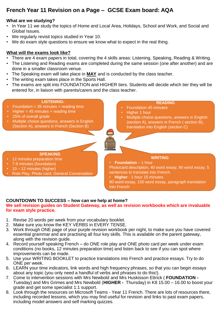# **French Year 11 Revision on a Page – GCSE Exam board: AQA**

## **What are we studying?**

- In Year 11 we study the topics of Home and Local Area, Holidays, School and Work, and Social and Global Issues.
- We regularly revisit topics studied in Year 10.
- We do exam style questions to ensure we know what to expect in the real thing.

# **What will the exams look like?**

- There are 4 exam papers in total, covering the 4 skills areas: Listening, Speaking, Reading & Writing.
- The Listening and Reading exams are completed during the same session (one after another) and are done in a smaller classroom venue.
- The Speaking exam will take place in **MAY** and is conducted by the class teacher.
- The writing exam takes place in the Sports Hall.
- The exams are split into FOUNDATION and HIGHER tiers. Students will decide which tier they will be entered for, in liaison with parents/carers and the class teacher.

#### **LISTENING:**

- Foundation =  $35$  minutes + reading time
- $Higher = 45 minutes + reading time$
- 25% of overall grade
- Multiple choice questions, answers in English (Section A), answers in French (Section B)

#### **READING**

- Foundation 45 minutes
- Higher 1 hour
- Multiple choice questions, answers in English (section A), answers in French ( section B), translation into English (section C)

#### **SPEAKING**

- 12 minutes preparation time
- 7-9 minutes (foundation)
- $10 12$  minutes (higher)
- Role Play, Photo card, General Conversation

#### **WRITING**

• **Foundation** – 1 hour Photocard description, 40 word essay, 90 word essay, 5 sentences to translate into French.

• **Higher** - 1 hour 15 minutes

90 word essay, 150 word essay, paragraph translation into French

# **COUNTDOWN TO SUCCESS – how can we help at home?**

#### **We sell revision guides on Student Gateway, as well as revision workbooks which are invaluable for exam style practice.**

- 1. Revise 20 words per week from your vocabulary booklet.
- 2. Make sure you know the KEY VERBS in EVERY TENSE.
- 3. Work through ONE page of your purple revision workbook per night, to make sure you have covered essential grammar and are practising all four key skills. This is available on the parent gateway, along with the revision guide.
- 4. Record yourself speaking French do ONE role play and ONE photo card per week under exam conditions (no books, 12 minutes preparation time) and listen back to see if you can spot where improvements can be made.
- 5. Use your WRITING BOOKLET to practice translations into French and practice essays. Try to do ONE per week.
- 6. LEARN your time indicators, link words and high frequency phrases, so that you can begin essays about any topic (you only need a handful of verbs and phrases to do this!).
- 7. Come to intervention sessions with Mrs Newbold and Mrs Huskisson Ettrick ( **FOUNDATION -** Tuesday) and Mrs Grimes and Mrs Newbold (**HIGHER -** Thursday) in K8 15.00 – 16.00 to boost your grade and get some specialist 1:1 support.
- 8. Look through the resources on Microsoft Teams Year 11 French. There are lots of resources there, including recorded lessons, which you may find useful for revision and links to past exam papers, including model answers and self marking quizzes.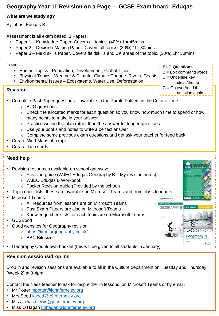# **Geography Year 11 Revision on a Page – GCSE Exam board: Eduqas**

# **What are we studying?**

Syllabus: Eduqas B

Assessment is all exam based. 3 Papers.

- Paper 1 Knowledge Paper. Covers all topics. (40%) 1hr 45mins
- Paper 2 Decision Making Paper. Covers all topics. (30%) 1hr 30mins
- Paper 3 Field skills Paper. Covers fieldskills and UK areas of the topic. (30%) 1hr 30mins

## **Topics**

- Human Topics Population, Development, Global Cities
- Physical Topics Weather & Climate, Climate Change, Rivers, Coasts
- Environmental Issues Ecosystems, Water Use, Deforestation

# **Revision**

**BUG Questions**

my revision notes

**GEOGRAPHY B** 

**Geography B** 

- $B = Box$  command words
- $U =$  Underline key
- ideas/theme  $G = G_0$  over/read the
- 
- question again.
- Complete Past Paper questions available in the Purple Folders in the Culture zone
	- o BUG questions
	- $\circ$  Check the allocated marks for each question so you know how much time to spend or how many points to make in your answer.
	- $\circ$  Practice writing the plan rather than the answer for longer questions.
	- $\circ$  Use your books and notes to write a perfect answer
	- $\circ$  Complete some previous exam questions and get ask your teacher for feed back
- Create Mind Maps of a topic
- Create flash cards

# **Need help**

- Revision resources available on school gateway:
	- $\circ$  Revision guide (WJEC Edugas Geography B My revision notes)
	- o WJEC Eduqas B Workbook
	- o Pocket Revision guide (Provided by the school)
- Topic checklists: these are available on Microsoft Teams and from class teachers
- Microsoft Teams:
	- o All resources from lessons are on Microsoft Teams
	- o Past Exam Papers are also on Microsoft Teams
	- o Knowledge checklists for each topic are on Microsoft Teams
- GCSEpod
- Good websites for Geography revision
	- o <https://timeforgeography.co.uk/>
	- o BBC Bitesize

• Geography Countdown booklet (this will be given to all students in January)

# **Revision sessions/drop ins**

Drop in and revision sessions are available to all in the Culture department on Tuesday and Thursday (Week 2) at 3-4pm.

Contact the class teacher to ask for help either in lessons, on Microsoft Teams or by email:

- Mr Potter [mpotter@johnferneley.org](mailto:mpotter@johnferneley.org)
- Mrs Seed [kseed@johnferneley.org](mailto:kseed@johnferneley.org)
- Miss Lewis [nlewis@johnferneley.org](mailto:nlewis@johnferneley.org)
- Miss O'Hagan [kohagan@johnferneley.org](mailto:kohagan@johnferneley.org)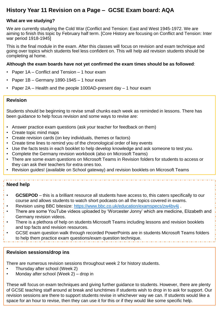# **History Year 11 Revision on a Page – GCSE Exam board: AQA**

# **What are we studying?**

We are currently studying the Cold War (Conflict and Tension: East and West 1945-1972. We are aiming to finish this topic by February half term. [Core History are focusing on Conflict and Tension: Inter war period 1918-1945]

This is the final module in the exam. After this classes will focus on revision and exam technique and going over topics which students feel less confident on. This will help aid revision students should be completing at home.

#### **Although the exam boards have not yet confirmed the exam times should be as followed**:

- Paper 1A Conflict and Tension 1 hour exam
- Paper 1B Germany 1890-1945 1 hour exam
- Paper 2A Health and the people 1000AD-present day 1 hour exam

## **Revision**

Students should be beginning to revise small chunks each week as reminded in lessons. There has been guidance to help focus revision and some ways to revise are:

- Answer practice exam questions (ask your teacher for feedback on them)
- Create topic mind maps
- Create revision cards (on key individuals, themes or factors)
- Create time lines to remind you of the chronological order of key events
- Use the facts tests in each booklet to help develop knowledge and ask someone to test you.
- Complete the Germany revision workbook (also on Microsoft Teams)
- There are some exam questions on Microsoft Teams in Revision folders for students to access or they can ask their teachers for extra ones too.
- Revision guides! (available on School gateway) and revision booklets on Microsoft Teams

# **Need help**

- **GCSEPOD** this is a brilliant resource all students have access to, this caters specifically to our course and allows students to watch short podcasts on all the topics covered in exams.
- Revision using BBC bitesize:<https://www.bbc.co.uk/education/examspecs/zw4bv4j> .
- There are some YouTube videos uploaded by 'Worcester Jonny' which are medicine, Elizabeth and Germany revision videos.
- There is a plethora of help on students Microsoft Teams including lessons and revision booklets and top facts and revision resources.
- GCSE exam question walk through recorded PowerPoints are in students Microsoft Teams folders to help them practice exam questions/exam question technique.

### **Revision sessions/drop ins**

There are numerous revision sessions throughout week 2 for history students.

- Thursday after school (Week 2)
- Monday after school (Week 2) drop in

These will focus on exam techniques and giving further guidance to students. However, there are plenty of GCSE teaching staff around at break and lunchtimes if students wish to drop in to ask for support. Our revision sessions are there to support students revise in whichever way we can. If students would like a space for an hour to revise, then they can use it for this or if they would like some specific help.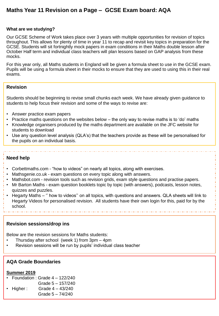# **Maths Year 11 Revision on a Page – GCSE Exam board: AQA**

#### **What are we studying?**

Our GCSE Scheme of Work takes place over 3 years with multiple opportunities for revision of topics throughout. This allows for plenty of time in year 11 to recap and revisit key topics in preparation for the GCSE. Students will sit fortnightly mock papers in exam conditions in their Maths double lesson after October Half term and individual class teachers will plan lessons based on GAP analysis from these mocks.

For this year only, all Maths students in England will be given a formula sheet to use in the GCSE exam. Pupils will be using a formula sheet in their mocks to ensure that they are used to using this in their real exams.

## **Revision**

Students should be beginning to revise small chunks each week. We have already given guidance to students to help focus their revision and some of the ways to revise are:

- Answer practice exam papers
- Practice maths questions on the websites below the only way to revise maths is to 'do' maths
- Knowledge organisers produced by the maths department are available on the JFC website for students to download
- Use any question level analysis (QLA's) that the teachers provide as these will be personalised for the pupils on an individual basis.

#### **Need help**

- Corbettmaths.com "how to videos" on nearly all topics, along with exercises.
- Mathsgenie.co.uk exam questions on every topic along with answers.
- Mathsbot.com revision tools such as revision grids, exam style questions and practise papers.
- Mr Barton Maths exam question booklets topic by topic (with answers), podcasts, lesson notes, quizzes and puzzles.
- Hegarty Maths '' how to videos'' on all topics, with questions and answers. QLA sheets will link to Hegarty Videos for personalised revision. All students have their own login for this, paid for by the school.

## **Revision sessions/drop ins**

Below are the revision sessions for Maths students:

- Thursday after school (week 1) from  $3pm 4pm$
- Revision sessions will be run by pupils' individual class teacher

#### **AQA Grade Boundaries**

#### **Summer 2019**

- Foundation : Grade 4 122/240
- Grade 5 157/240
- Higher: Grade  $4 43/240$ Grade 5 – 74/240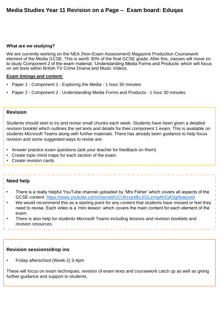# **Media Studies Year 11 Revision on a Page – Exam board: Eduqas**

#### **What are we studying?**

We are currently working on the NEA (Non-Exam Assessment) Magazine Production Coursework element of the Media GCSE. This is worth 30% of the final GCSE grade. After this, classes will move on to study Component 2 of the exam material; 'Understanding Media Forms and Products' which will focus on set texts within British TV Crime Drama and Music Videos.

#### **Exam timings and content**:

- Paper 1 Component 1 Exploring the Media 1 hour 30 minutes
- Paper 2 Component 2 Understanding Media Forms and Products 1 hour 30 minutes

## **Revision**

Students should start to try and revise small chunks each week. Students have been given a detailed revision booklet which outlines the set texts and details for their component 1 exam. This is available on students Microsoft Teams along with further materials. There has already been guidance to help focus revision and some suggested ways to revise are:

- Answer practice exam questions (ask your teacher for feedback on them)
- Create topic mind maps for each section of the exam.
- Create revision cards

### **Need help**

- There is a really helpful YouTube channel uploaded by 'Mrs Fisher' which covers all aspects of the GCSE content.<https://www.youtube.com/channel/UCUKrxp4BcJrGLzmqAhCjASg/featured>
- We would recommend this as a starting point for any content that students have missed or feel they need to revise. Each video is a 'mini lesson' which covers the main content for each element of the exam.
- There is also help for students Microsoft Teams including lessons and revision booklets and revision resources.

#### **Revision sessions/drop ins**

• Friday afterschool (Week 2) 3-4pm

These will focus on exam techniques, revision of exam texts and coursework catch up as well as giving further guidance and support to students.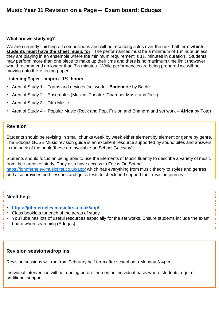## **What are we studying?**

We are currently finishing off compositions and will be recording solos over the next half term **which students must have the sheet music for**. The performances must be a minimum of 1 minute unless they are playing in an ensemble where the minimum requirement is 1½ minutes in duration. Students may perform more than one piece to make up their time and there is no maximum time limit (however I would recommend no longer than 3½ minutes. While performances are being prepared we will be moving onto the listening paper.

## **Listening Paper – approx. 1¼ hours**

- Area of Study 1 Forms and devices (set work **Badenerie** by Bach)
- Area of Study 2 Ensembles (Musical Theatre, Chamber Music and Jazz)
- Area of Study 3 Film Music
- Area of Study 4 Popular Music (Rock and Pop, Fusion and Bhangra and set work **Africa** by Toto)

## **Revision**

Students should be revising in small chunks week by week either element by element or genre by genre. The Eduqas GCSE Music revision guide is an excellent resource supported by sound bites and answers in the back of the book (these are available on School Gateway)**.**

Students should focus on being able to use the Elements of Music fluently to describe a variety of music from their areas of study, They also have access to Focus On Sound <https://johnferneley.musicfirst.co.uk/app/> which has everything from music theory to styles and genres and also provides both lessons and quick tests to check and support their revision journey

# **Need help**

- **<https://johnferneley.musicfirst.co.uk/app/>**
- Class booklets for each of the aeras of study
- YouTube has lots of useful resources especially for the set works. Ensure students include the exam board when searching (Eduqas)

# **Revision sessions/drop ins**

Revision sessions will run from February half term after school on a Monday 3-4pm.

Individual intervention will be running before then on an individual basis where students require additional support.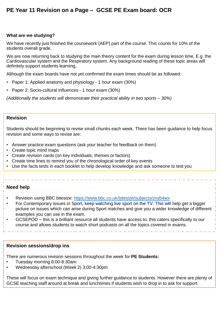# **PE Year 11 Revision on a Page – GCSE PE Exam board: OCR**

#### **What are we studying?**

We have recently just finished the coursework (AEP) part of the course. This counts for 10% of the students overall grade.

We are now returning back to studying the main theory content for the exam during lesson time. E.g. the Cardiovascular system and the Respiratory system. Any background reading of these topic areas will definitely support students learning.

Although the exam boards have not yet confirmed the exam times should be as followed:

- Paper 1: Applied anatomy and physiology 1 hour exam (30%)
- Paper 2: Socio-cultural influences 1 hour exam (30%)

*(Additionally the students will demonstrate their practical ability in two sports – 30%)*

# **Revision**

Students should be beginning to revise small chunks each week. There has been guidance to help focus revision and some ways to revise are:

- Answer practice exam questions (ask your teacher for feedback on them)
- Create topic mind maps
- Create revision cards (on key individuals, themes or factors)
- Create time lines to remind you of the chronological order of key events
- Use the facts tests in each booklet to help develop knowledge and ask someone to test you

### **Need help**

- Revision using BBC bitesize:<https://www.bbc.co.uk/bitesize/subjects/znyb4wx>
- For Contemporary issues in Sport, keep watching live sport on the TV. This will help get a bigger picture on issues which can arise during Sport matches and give you a wider knowledge of different examples you can use in the exam.
- GCSEPOD this is a brilliant resource all students have access to, this caters specifically to our course and allows students to watch short podcasts on all the topics covered in exams.

#### **Revision sessions/drop ins**

There are numerous revision sessions throughout the week for **PE Students:**

- Tuesday morning 8:00-8:30am
- Wednesday afterschool (Week 2) 3:00-4:30pm

These will focus on exam technique and giving further guidance to students. However there are plenty of GCSE teaching staff around at break and lunchtimes if students wish to drop in to ask for support.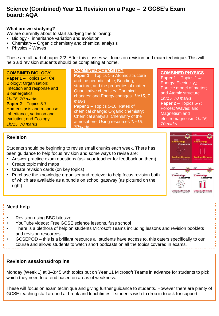# **Science (Combined) Year 11 Revision on a Page – 2 GCSE's Exam board: AQA**

## **What are we studying?**

We are currently about to start studying the following:

- Biology inheritance variation and evolution
- Chemistry Organic chemistry and chemical analysis
- Physics Waves

These are all part of paper 2/2. After this classes will focus on revision and exam technique. This will help aid revision students should be completing at home.

| <b>COMBINED BIOLOGY</b><br>Paper 1 - Topics 1-4: Cell<br><b>Biology; Organisation;</b><br>Infection and response and<br><b>Bioenergetics</b><br>1hr15, 70 marks<br>Paper 2 - Topics 5-7:<br>Homeostasis and response;<br>Inheritance, variation and<br>evolution; and Ecology<br>1hr15, 70 marks | <b>COMBINED CHEMSITRY</b><br>Paper 1 - Topics 1-5 Atomic structure<br>and the periodic table; Bonding,<br>structure, and the properties of matter;<br>Quantitative chemistry; Chemical<br>changes; and Energy changes 1hr15, 7<br>marks<br><b>Paper 2</b> – Topics 5-10: Rates of<br>chemical change; Organic chemistry;<br>Chemical analysis; Chemistry of the<br>atmosphere; Using resources 1hr15,<br>70marks | <b>COMBINED PHYSICS</b><br><b>Paper 1</b> $-$ Topics 1-4:<br>Energy; Electricity,;<br>Particle model of matter;<br>and Atomic structure<br>1hr15, 70 marks<br><b>Paper 2</b> – Topics $5-7$ :<br>Forces; Waves; and<br>Magnetism and<br>electromagnetism 1hr15,<br><b>70marks</b> |
|--------------------------------------------------------------------------------------------------------------------------------------------------------------------------------------------------------------------------------------------------------------------------------------------------|------------------------------------------------------------------------------------------------------------------------------------------------------------------------------------------------------------------------------------------------------------------------------------------------------------------------------------------------------------------------------------------------------------------|-----------------------------------------------------------------------------------------------------------------------------------------------------------------------------------------------------------------------------------------------------------------------------------|
|                                                                                                                                                                                                                                                                                                  |                                                                                                                                                                                                                                                                                                                                                                                                                  |                                                                                                                                                                                                                                                                                   |

## **Revision**

Students should be beginning to revise small chunks each week. There has been guidance to help focus revision and some ways to revise are:

- Answer practice exam questions (ask your teacher for feedback on them)
- Create topic mind maps
- Create revision cards (on key topics)
- Purchase the knowledge organiser and retriever to help focus revision both of which are available as a bundle on school gateway (as pictured on the right)

# **Need help**

- Revision using BBC bitesize
- YouTube videos: Free GCSE science lessons, fuse school
- There is a plethora of help on students Microsoft Teams including lessons and revision booklets and revision resources.
- GCSEPOD this is a brilliant resource all students have access to, this caters specifically to our course and allows students to watch short podcasts on all the topics covered in exams.

# **Revision sessions/drop ins**

Monday (Week 1) at 3–3:45 with topics put on Year 11 Microsoft Teams in advance for students to pick which they need to attend based on areas of weakness.

These will focus on exam technique and giving further guidance to students. However there are plenty of GCSE teaching staff around at break and lunchtimes if students wish to drop in to ask for support.

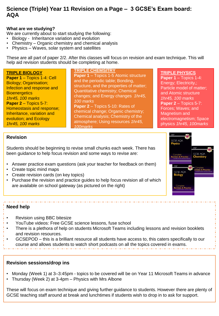# **Science (Triple) Year 11 Revision on a Page – 3 GCSE's Exam board: AQA**

## **What are we studying?**

We are currently about to start studying the following:

- Biology Inheritance variation and evolution
- Chemistry Organic chemistry and chemical analysis
- Physics Waves, solar system and satellites

These are all part of paper 2/2. After this classes will focus on revision and exam technique. This will help aid revision students should be completing at home.

| and the periodic table; Bonding,<br><b>Biology; Organisation;</b><br>Energy; Electricity,;<br>structure, and the properties of matter;<br>Particle model of matter;<br>Infection and response and<br>Quantitative chemistry; Chemical<br>and Atomic structure<br><b>Bioenergetics</b><br>changes; and Energy changes 1hr45,<br>1hr45, 100 marks<br>1hr45, 100 marks<br>100 marks<br>Paper 2 - Topics 5-7:<br><b>Paper 2</b> – Topics $5-7$ :<br>Paper 2 - Topics 5-10: Rates of<br>Homeostasis and response;<br>Forces; Waves; and<br>chemical change; Organic chemistry;<br>Inheritance, variation and<br>Magnetism and<br>Chemical analysis; Chemistry of the<br>electromagnetism; Space<br>evolution; and Ecology<br>atmosphere; Using resources 1hr45,<br>physics 1hr45, 100marks<br>1hr45, 100 marks<br>100marks |
|-----------------------------------------------------------------------------------------------------------------------------------------------------------------------------------------------------------------------------------------------------------------------------------------------------------------------------------------------------------------------------------------------------------------------------------------------------------------------------------------------------------------------------------------------------------------------------------------------------------------------------------------------------------------------------------------------------------------------------------------------------------------------------------------------------------------------|
|-----------------------------------------------------------------------------------------------------------------------------------------------------------------------------------------------------------------------------------------------------------------------------------------------------------------------------------------------------------------------------------------------------------------------------------------------------------------------------------------------------------------------------------------------------------------------------------------------------------------------------------------------------------------------------------------------------------------------------------------------------------------------------------------------------------------------|

## **Revision**

Students should be beginning to revise small chunks each week. There has been guidance to help focus revision and some ways to revise are:

- Answer practice exam questions (ask your teacher for feedback on them)
- Create topic mind maps
- Create revision cards (on key topics)
- Purchase the revision and practice guides to help focus revision all of which are available on school gateway (as pictured on the right)

# **Need help**

- Revision using BBC bitesize
- YouTube videos: Free GCSE science lessons, fuse school
- There is a plethora of help on students Microsoft Teams including lessons and revision booklets and revision resources.
- GCSEPOD this is a brilliant resource all students have access to, this caters specifically to our course and allows students to watch short podcasts on all the topics covered in exams.

# **Revision sessions/drop ins**

- Monday (Week 1) at 3–3:45pm topics to be covered will be on Year 11 Microsoft Teams in advance
- Thursday (Week 2) at 3-4pm Physics with Mrs Albone

These will focus on exam technique and giving further guidance to students. However there are plenty of GCSE teaching staff around at break and lunchtimes if students wish to drop in to ask for support.

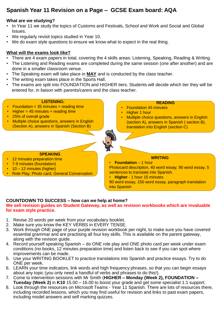# **Spanish Year 11 Revision on a Page – GCSE Exam board: AQA**

## **What are we studying?**

- In Year 11 we study the topics of Customs and Festivals, School and Work and Social and Global Issues.
- We regularly revisit topics studied in Year 10.
- We do exam style questions to ensure we know what to expect in the real thing.

# **What will the exams look like?**

- There are 4 exam papers in total, covering the 4 skills areas: Listening, Speaking, Reading & Writing.
- The Listening and Reading exams are completed during the same session (one after another) and are done in a smaller classroom venue.
- The Speaking exam will take place in **MAY** and is conducted by the class teacher.
- The writing exam takes place in the Sports Hall.
- The exams are split into FOUNDATION and HIGHER tiers. Students will decide which tier they will be entered for, in liaison with parents/carers and the class teacher.

#### **LISTENING:**

- $F$ oundation = 35 minutes + reading time
- $Higher = 45 minutes + reading time$
- 25% of overall grade
- Multiple choice questions, answers in English (Section A), answers in Spanish (Section B)

#### **READING**

- Foundation 45 minutes
- Higher 1 hour
- Multiple choice questions, answers in English (section A), answers in Spanish ( section B), translation into English (section C)



# **WRITING**

**SPEAKING**

- 12 minutes preparation time
- 7-9 minutes (foundation)
- 10 12 minutes (higher)
- Role Play, Photo card, General Conversation

• **Foundation** – 1 hour Photocard description, 40 word essay, 90 word essay, 5 sentences to translate into Spanish.

• **Higher** - 1 hour 15 minutes

90 word essay, 150 word essay, paragraph translation into Spanish

# **COUNTDOWN TO SUCCESS – how can we help at home?**

#### **We sell revision guides on Student Gateway, as well as revision workbooks which are invaluable for exam style practice.**

- 1. Revise 20 words per week from your vocabulary booklet.
- 2. Make sure you know the KEY VERBS in EVERY TENSE.
- 3. Work through ONE page of your purple revision workbook per night, to make sure you have covered essential grammar and are practising all four key skills. This is available on the parent gateway, along with the revision guide.
- 4. Record yourself speaking Spanish do ONE role play and ONE photo card per week under exam conditions (no books, 12 minutes preparation time) and listen back to see if you can spot where improvements can be made.
- 5. Use your WRITING BOOKLET to practice translations into Spanish and practice essays. Try to do ONE per week.
- 6. LEARN your time indicators, link words and high frequency phrases, so that you can begin essays about any topic (you only need a handful of verbs and phrases to do this!).
- 7. Come to intervention sessions with Mr Smith (**HIGHER – Monday (Week 2), FOUNDATION – Tuesday (Week 2)** in **K10** 15.00 – 16.00 to boost your grade and get some specialist 1:1 support.
- 8. Look through the resources on Microsoft Teams Year 11 Spanish. There are lots of resources there, including recorded lessons, which you may find useful for revision and links to past exam papers, including model answers and self marking quizzes.